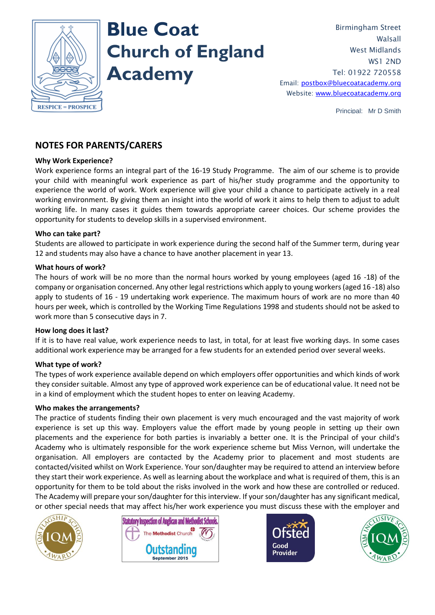

# **Blue Coat Church of England Academy**

Birmingham Street Walsall West Midlands WS1 2ND Tel: 01922 720558 Email: [postbox@bluecoatacademy.org](mailto:postbox@bluecoatacademy.org) Website: [www.bluecoatacademy.org](http://www.bluecoatacademy.org/)

Principal: Mr D Smith

# **NOTES FOR PARENTS/CARERS**

# **Why Work Experience?**

Work experience forms an integral part of the 16-19 Study Programme. The aim of our scheme is to provide your child with meaningful work experience as part of his/her study programme and the opportunity to experience the world of work. Work experience will give your child a chance to participate actively in a real working environment. By giving them an insight into the world of work it aims to help them to adjust to adult working life. In many cases it guides them towards appropriate career choices. Our scheme provides the opportunity for students to develop skills in a supervised environment.

# **Who can take part?**

Students are allowed to participate in work experience during the second half of the Summer term, during year 12 and students may also have a chance to have another placement in year 13.

# **What hours of work?**

The hours of work will be no more than the normal hours worked by young employees (aged 16 -18) of the company or organisation concerned. Any other legal restrictions which apply to young workers (aged 16 -18) also apply to students of 16 - 19 undertaking work experience. The maximum hours of work are no more than 40 hours per week, which is controlled by the Working Time Regulations 1998 and students should not be asked to work more than 5 consecutive days in 7.

## **How long does it last?**

If it is to have real value, work experience needs to last, in total, for at least five working days. In some cases additional work experience may be arranged for a few students for an extended period over several weeks.

## **What type of work?**

The types of work experience available depend on which employers offer opportunities and which kinds of work they consider suitable. Almost any type of approved work experience can be of educational value. It need not be in a kind of employment which the student hopes to enter on leaving Academy.

## **Who makes the arrangements?**

The practice of students finding their own placement is very much encouraged and the vast majority of work experience is set up this way. Employers value the effort made by young people in setting up their own placements and the experience for both parties is invariably a better one. It is the Principal of your child's Academy who is ultimately responsible for the work experience scheme but Miss Vernon, will undertake the organisation. All employers are contacted by the Academy prior to placement and most students are contacted/visited whilst on Work Experience. Your son/daughter may be required to attend an interview before they start their work experience. As well as learning about the workplace and what is required of them, this is an opportunity for them to be told about the risks involved in the work and how these are controlled or reduced. The Academy will prepare your son/daughter for this interview. If your son/daughter has any significant medical, or other special needs that may affect his/her work experience you must discuss these with the employer and